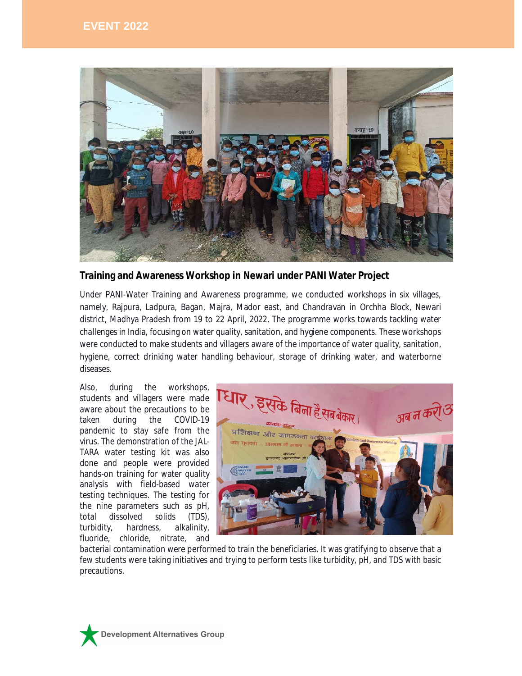

**Training and Awareness Workshop in Newari under PANI Water Project**

Under PANI-Water Training and Awareness programme, we conducted workshops in six villages, namely, Rajpura, Ladpura, Bagan, Majra, Mador east, and Chandravan in Orchha Block, Newari district, Madhya Pradesh from 19 to 22 April, 2022. The programme works towards tackling water challenges in India, focusing on water quality, sanitation, and hygiene components. These workshops were conducted to make students and villagers aware of the importance of water quality, sanitation, hygiene, correct drinking water handling behaviour, storage of drinking water, and waterborne diseases.

Also, during the workshops, students and villagers were made aware about the precautions to be taken during the COVID-19 pandemic to stay safe from the virus. The demonstration of the JAL-TARA water testing kit was also done and people were provided hands-on training for water quality analysis with field-based water testing techniques. The testing for the nine parameters such as pH, total dissolved solids (TDS), turbidity, hardness, alkalinity, fluoride, chloride, nitrate, and



bacterial contamination were performed to train the beneficiaries. It was gratifying to observe that a few students were taking initiatives and trying to perform tests like turbidity, pH, and TDS with basic precautions.